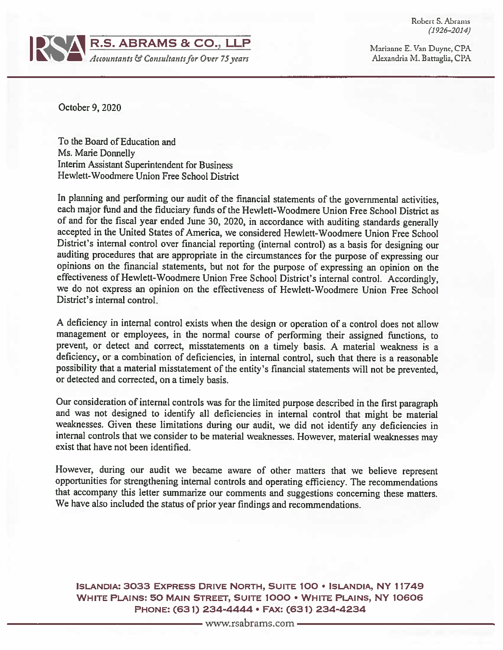Robert S. Abrams  $(1926 - 2014)$ 



Marianne E. Van Duyne, CPA Alexandria M. Battaglia, CPA

October 9, 2020

To the Board of Education and Ms. Marie Donnelly Interim Assistant Superintendent for Business Hewlett-Woodmere Union Free School District

In planning and performing our audit of the financial statements of the governmental activities, each major fund and the fiduciary funds of the Hewlett-Woodmere Union Free School District as of and for the fiscal year ended June 30, 2020, in accordance with auditing standards generally accepted in the United States of America, we considered Hewlett-Woodmere Union Free School District's internal control over financial reporting (internal control) as a basis for designing our auditing procedures that are appropriate in the circumstances for the purpose of expressing our opinions on the financial statements, but not for the purpose of expressing an opinion on the effectiveness of Hewlett-Woodmere Union Free School District's internal control. Accordingly, we do not express an opinion on the effectiveness of Hewlett-Woodmere Union Free School District's internal control.

A deficiency in internal control exists when the design or operation of a control does not allow management or employees, in the normal course of performing their assigned functions, to prevent, or detect and correct, misstatements on a timely basis. A material weakness is a deficiency, or a combination of deficiencies, in internal control, such that there is a reasonable possibility that a material misstatement of the entity's financial statements will not be prevented, or detected and corrected, on a timely basis.

Our consideration of internal controls was for the limited purpose described in the first paragraph and was not designed to identify all deficiencies in internal control that might be material weaknesses. Given these limitations during our audit, we did not identify any deficiencies in internal controls that we consider to be material weaknesses. However, material weaknesses may exist that have not been identified.

However, during our audit we became aware of other matters that we believe represent opportunities for strengthening internal controls and operating efficiency. The recommendations that accompany this letter summarize our comments and suggestions concerning these matters. We have also included the status of prior year findings and recommendations.

ISLANDIA: 3033 EXPRESS DRIVE NORTH, SUITE 100 · ISLANDIA, NY 11749 WHITE PLAINS: 50 MAIN STREET, SUITE 1000 . WHITE PLAINS, NY 10606 PHONE: (631) 234-4444 · FAX: (631) 234-4234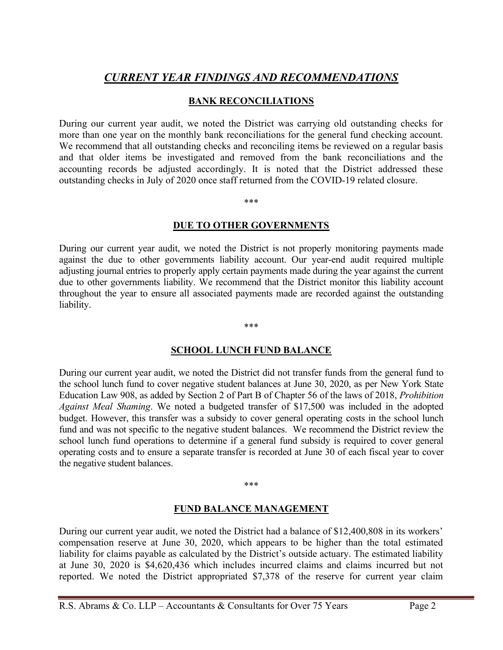# CURRENT YEAR FINDINGS AND RECOMMENDATIONS

### BANK RECONCILIATIONS

During our current year audit, we noted the District was carrying old outstanding checks for more than one year on the monthly bank reconciliations for the general fund checking account. We recommend that all outstanding checks and reconciling items be reviewed on a regular basis and that older items be investigated and removed from the bank reconciliations and the accounting records be adjusted accordingly. It is noted that the District addressed these outstanding checks in July of 2020 once staff returned from the COVID-19 related closure.

\*\*\*

#### DUE TO OTHER GOVERNMENTS

During our current year audit, we noted the District is not properly monitoring payments made against the due to other governments liability account. Our year-end audit required multiple adjusting journal entries to properly apply certain payments made during the year against the current due to other governments liability. We recommend that the District monitor this liability account throughout the year to ensure all associated payments made are recorded against the outstanding liability.

\*\*\*

### SCHOOL LUNCH FUND BALANCE

During our current year audit, we noted the District did not transfer funds from the general fund to the school lunch fund to cover negative student balances at June 30, 2020, as per New York State Education Law 908, as added by Section 2 of Part B of Chapter 56 of the laws of 2018, Prohibition Against Meal Shaming. We noted a budgeted transfer of \$17,500 was included in the adopted budget. However, this transfer was a subsidy to cover general operating costs in the school lunch fund and was not specific to the negative student balances. We recommend the District review the school lunch fund operations to determine if a general fund subsidy is required to cover general operating costs and to ensure a separate transfer is recorded at June 30 of each fiscal year to cover the negative student balances.

#### \*\*\*

### FUND BALANCE MANAGEMENT

During our current year audit, we noted the District had a balance of \$12,400,808 in its workers' compensation reserve at June 30, 2020, which appears to be higher than the total estimated liability for claims payable as calculated by the District's outside actuary. The estimated liability at June 30, 2020 is \$4,620,436 which includes incurred claims and claims incurred but not reported. We noted the District appropriated \$7,378 of the reserve for current year claim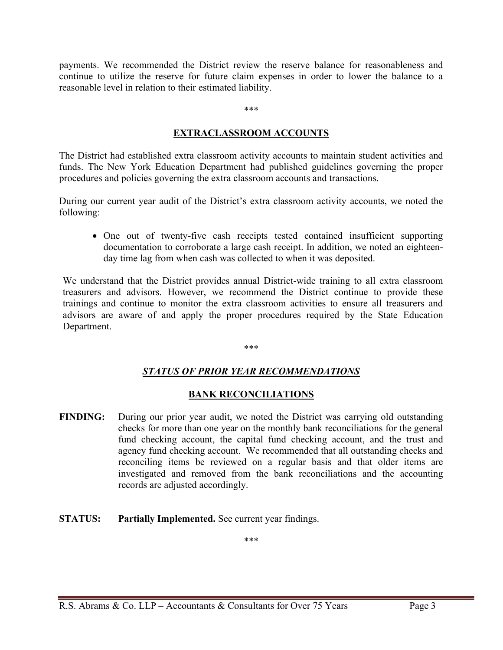payments. We recommended the District review the reserve balance for reasonableness and continue to utilize the reserve for future claim expenses in order to lower the balance to a reasonable level in relation to their estimated liability.

#### \*\*\*

#### EXTRACLASSROOM ACCOUNTS

The District had established extra classroom activity accounts to maintain student activities and funds. The New York Education Department had published guidelines governing the proper procedures and policies governing the extra classroom accounts and transactions.

During our current year audit of the District's extra classroom activity accounts, we noted the following:

 One out of twenty-five cash receipts tested contained insufficient supporting documentation to corroborate a large cash receipt. In addition, we noted an eighteenday time lag from when cash was collected to when it was deposited.

We understand that the District provides annual District-wide training to all extra classroom treasurers and advisors. However, we recommend the District continue to provide these trainings and continue to monitor the extra classroom activities to ensure all treasurers and advisors are aware of and apply the proper procedures required by the State Education Department.

#### \*\*\*

### STATUS OF PRIOR YEAR RECOMMENDATIONS

### BANK RECONCILIATIONS

- FINDING: During our prior year audit, we noted the District was carrying old outstanding checks for more than one year on the monthly bank reconciliations for the general fund checking account, the capital fund checking account, and the trust and agency fund checking account. We recommended that all outstanding checks and reconciling items be reviewed on a regular basis and that older items are investigated and removed from the bank reconciliations and the accounting records are adjusted accordingly.
- STATUS: Partially Implemented. See current year findings.

\*\*\*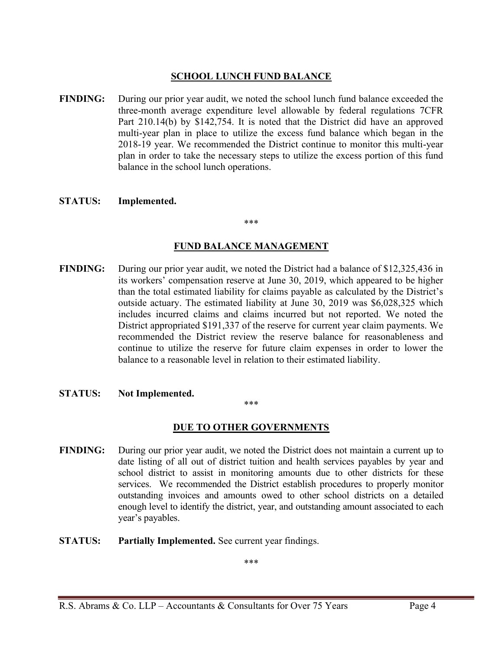## SCHOOL LUNCH FUND BALANCE

- FINDING: During our prior year audit, we noted the school lunch fund balance exceeded the three-month average expenditure level allowable by federal regulations 7CFR Part 210.14(b) by \$142,754. It is noted that the District did have an approved multi-year plan in place to utilize the excess fund balance which began in the 2018-19 year. We recommended the District continue to monitor this multi-year plan in order to take the necessary steps to utilize the excess portion of this fund balance in the school lunch operations.
- STATUS: Implemented.

#### \*\*\*

#### FUND BALANCE MANAGEMENT

- FINDING: During our prior year audit, we noted the District had a balance of \$12,325,436 in its workers' compensation reserve at June 30, 2019, which appeared to be higher than the total estimated liability for claims payable as calculated by the District's outside actuary. The estimated liability at June 30, 2019 was \$6,028,325 which includes incurred claims and claims incurred but not reported. We noted the District appropriated \$191,337 of the reserve for current year claim payments. We recommended the District review the reserve balance for reasonableness and continue to utilize the reserve for future claim expenses in order to lower the balance to a reasonable level in relation to their estimated liability.
- STATUS: Not Implemented.

\*\*\*

# **DUE TO OTHER GOVERNMENTS**

- FINDING: During our prior year audit, we noted the District does not maintain a current up to date listing of all out of district tuition and health services payables by year and school district to assist in monitoring amounts due to other districts for these services. We recommended the District establish procedures to properly monitor outstanding invoices and amounts owed to other school districts on a detailed enough level to identify the district, year, and outstanding amount associated to each year's payables.
- STATUS: Partially Implemented. See current year findings.

\*\*\*